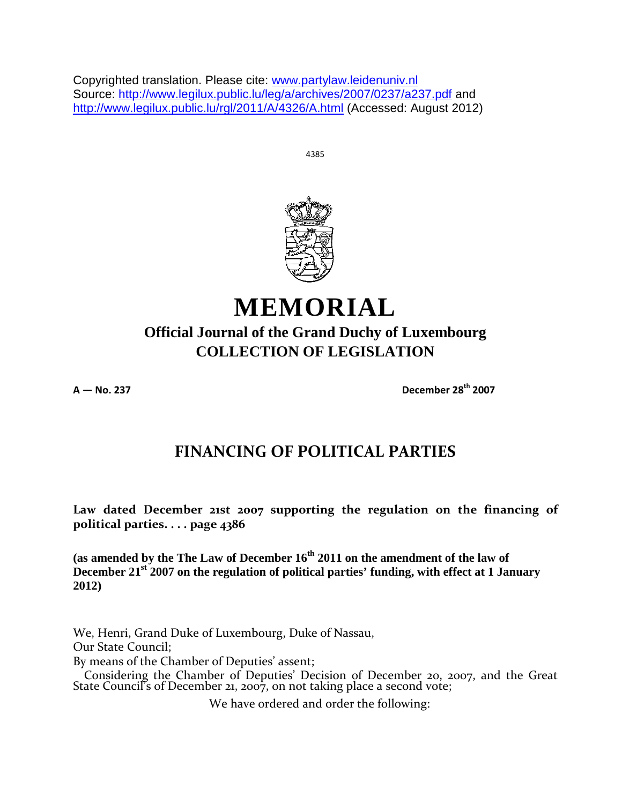Copyrighted translation. Please cite: www.partylaw.leidenuniv.nl Source: http://www.legilux.public.lu/leg/a/archives/2007/0237/a237.pdf and http://www.legilux.public.lu/rgl/2011/A/4326/A.html (Accessed: August 2012)

4385



# **MEMORIAL**

# **Official Journal of the Grand Duchy of Luxembourg COLLECTION OF LEGISLATION**

**A — No. 237 December 28th 2007**

# **FINANCING OF POLITICAL PARTIES**

**Law dated December 21st 2007 supporting the regulation on the financing of political parties. . . . page 4386** 

**(as amended by the The Law of December 16th 2011 on the amendment of the law of December 21st 2007 on the regulation of political parties' funding, with effect at 1 January 2012)**

We, Henri, Grand Duke of Luxembourg, Duke of Nassau, Our State Council; By means of the Chamber of Deputies' assent; Considering the Chamber of Deputies' Decision of December 20, 2007, and the Great State Council's of December 21, 2007, on not taking place a second vote;

We have ordered and order the following: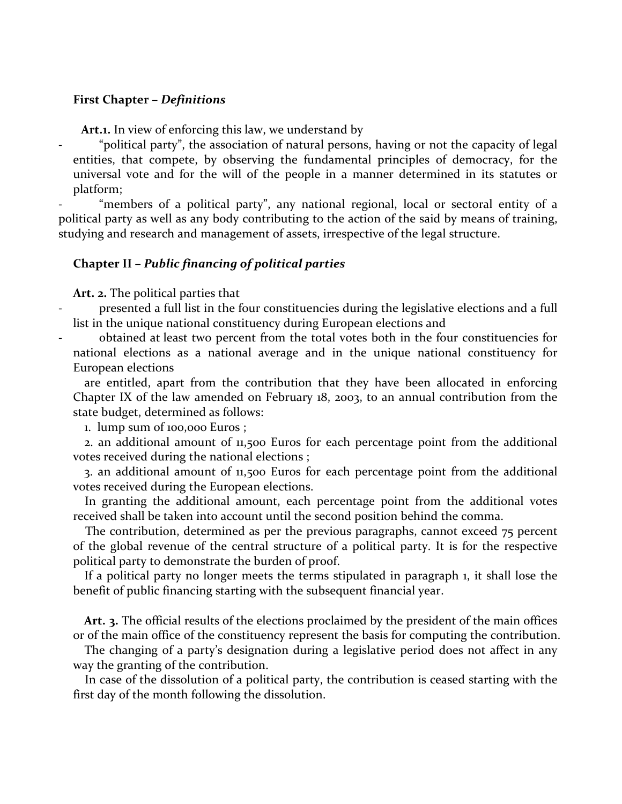# **First Chapter –** *Definitions*

**Art.1.** In view of enforcing this law, we understand by

"political party", the association of natural persons, having or not the capacity of legal entities, that compete, by observing the fundamental principles of democracy, for the universal vote and for the will of the people in a manner determined in its statutes or platform;

"members of a political party", any national regional, local or sectoral entity of a political party as well as any body contributing to the action of the said by means of training, studying and research and management of assets, irrespective of the legal structure.

# **Chapter II –** *Public financing of political parties*

**Art. 2.** The political parties that

- presented a full list in the four constituencies during the legislative elections and a full list in the unique national constituency during European elections and
- obtained at least two percent from the total votes both in the four constituencies for national elections as a national average and in the unique national constituency for European elections

are entitled, apart from the contribution that they have been allocated in enforcing Chapter IX of the law amended on February 18, 2003, to an annual contribution from the state budget, determined as follows:

1. lump sum of 100,000 Euros ;

2. an additional amount of 11,500 Euros for each percentage point from the additional votes received during the national elections ;

3. an additional amount of 11,500 Euros for each percentage point from the additional votes received during the European elections.

In granting the additional amount, each percentage point from the additional votes received shall be taken into account until the second position behind the comma.

The contribution, determined as per the previous paragraphs, cannot exceed 75 percent of the global revenue of the central structure of a political party. It is for the respective political party to demonstrate the burden of proof.

If a political party no longer meets the terms stipulated in paragraph 1, it shall lose the benefit of public financing starting with the subsequent financial year.

**Art. 3.** The official results of the elections proclaimed by the president of the main offices or of the main office of the constituency represent the basis for computing the contribution.

The changing of a party's designation during a legislative period does not affect in any way the granting of the contribution.

In case of the dissolution of a political party, the contribution is ceased starting with the first day of the month following the dissolution.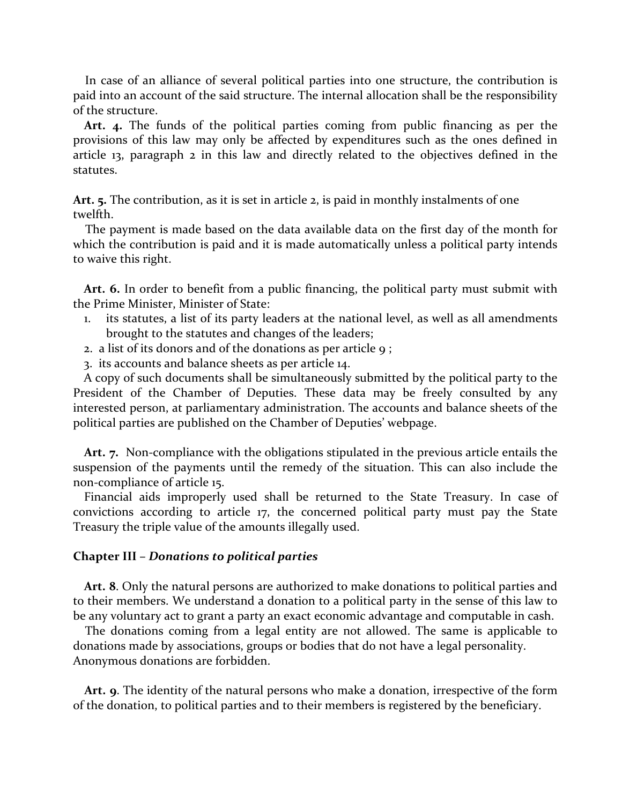In case of an alliance of several political parties into one structure, the contribution is paid into an account of the said structure. The internal allocation shall be the responsibility of the structure.

**Art. 4.** The funds of the political parties coming from public financing as per the provisions of this law may only be affected by expenditures such as the ones defined in article 13, paragraph 2 in this law and directly related to the objectives defined in the statutes.

**Art. 5.** The contribution, as it is set in article 2, is paid in monthly instalments of one twelfth.

The payment is made based on the data available data on the first day of the month for which the contribution is paid and it is made automatically unless a political party intends to waive this right.

**Art. 6.** In order to benefit from a public financing, the political party must submit with the Prime Minister, Minister of State:

- 1. its statutes, a list of its party leaders at the national level, as well as all amendments brought to the statutes and changes of the leaders;
- 2. a list of its donors and of the donations as per article 9;
- 3. its accounts and balance sheets as per article 14.

A copy of such documents shall be simultaneously submitted by the political party to the President of the Chamber of Deputies. These data may be freely consulted by any interested person, at parliamentary administration. The accounts and balance sheets of the political parties are published on the Chamber of Deputies' webpage.

**Art. 7.** Non-compliance with the obligations stipulated in the previous article entails the suspension of the payments until the remedy of the situation. This can also include the non-compliance of article 15.

Financial aids improperly used shall be returned to the State Treasury. In case of convictions according to article 17, the concerned political party must pay the State Treasury the triple value of the amounts illegally used.

#### **Chapter III –** *Donations to political parties*

**Art. 8**. Only the natural persons are authorized to make donations to political parties and to their members. We understand a donation to a political party in the sense of this law to be any voluntary act to grant a party an exact economic advantage and computable in cash.

The donations coming from a legal entity are not allowed. The same is applicable to donations made by associations, groups or bodies that do not have a legal personality. Anonymous donations are forbidden.

**Art. 9**. The identity of the natural persons who make a donation, irrespective of the form of the donation, to political parties and to their members is registered by the beneficiary.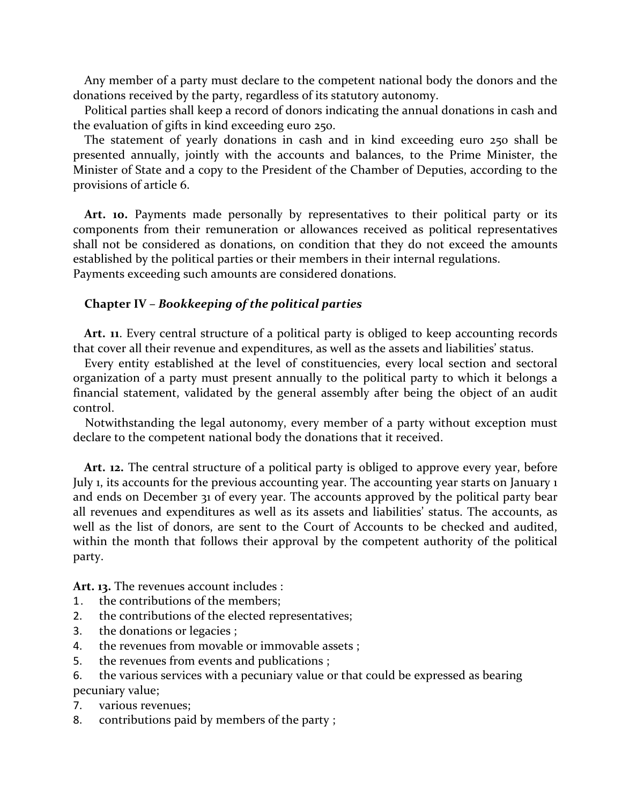Any member of a party must declare to the competent national body the donors and the donations received by the party, regardless of its statutory autonomy.

Political parties shall keep a record of donors indicating the annual donations in cash and the evaluation of gifts in kind exceeding euro 250.

The statement of yearly donations in cash and in kind exceeding euro 250 shall be presented annually, jointly with the accounts and balances, to the Prime Minister, the Minister of State and a copy to the President of the Chamber of Deputies, according to the provisions of article 6.

**Art. 10.** Payments made personally by representatives to their political party or its components from their remuneration or allowances received as political representatives shall not be considered as donations, on condition that they do not exceed the amounts established by the political parties or their members in their internal regulations. Payments exceeding such amounts are considered donations.

# **Chapter IV –** *Bookkeeping of the political parties*

Art. **11**. Every central structure of a political party is obliged to keep accounting records that cover all their revenue and expenditures, as well as the assets and liabilities' status.

Every entity established at the level of constituencies, every local section and sectoral organization of a party must present annually to the political party to which it belongs a financial statement, validated by the general assembly after being the object of an audit control.

Notwithstanding the legal autonomy, every member of a party without exception must declare to the competent national body the donations that it received.

**Art. 12.** The central structure of a political party is obliged to approve every year, before July 1, its accounts for the previous accounting year. The accounting year starts on January 1 and ends on December 31 of every year. The accounts approved by the political party bear all revenues and expenditures as well as its assets and liabilities' status. The accounts, as well as the list of donors, are sent to the Court of Accounts to be checked and audited, within the month that follows their approval by the competent authority of the political party.

**Art. 13.** The revenues account includes :

- 1. the contributions of the members;
- 2. the contributions of the elected representatives;
- 3. the donations or legacies ;
- 4. the revenues from movable or immovable assets ;
- 5. the revenues from events and publications ;
- 6. the various services with a pecuniary value or that could be expressed as bearing pecuniary value;
- 7. various revenues;
- 8. contributions paid by members of the party ;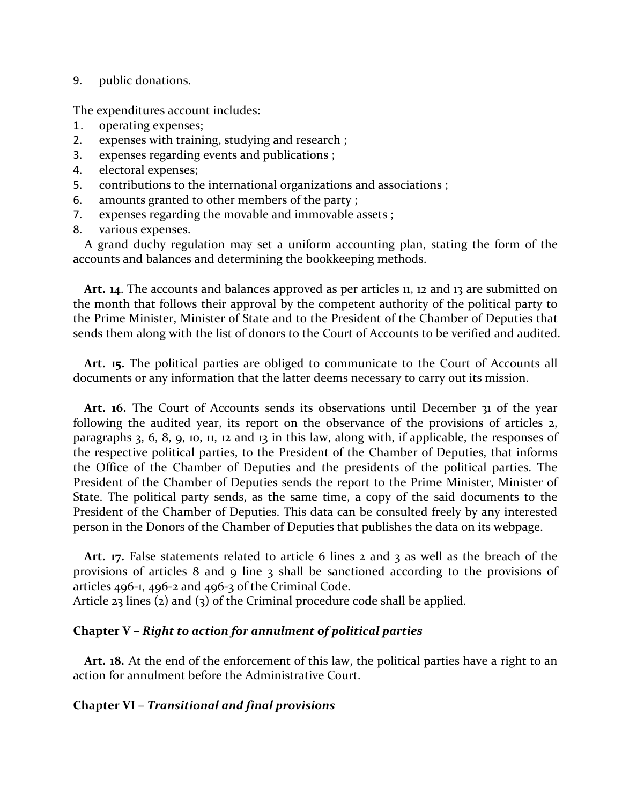# 9. public donations.

The expenditures account includes:

- 1. operating expenses;
- 2. expenses with training, studying and research ;
- 3. expenses regarding events and publications ;
- 4. electoral expenses;
- 5. contributions to the international organizations and associations ;
- 6. amounts granted to other members of the party ;
- 7. expenses regarding the movable and immovable assets ;
- 8. various expenses.

A grand duchy regulation may set a uniform accounting plan, stating the form of the accounts and balances and determining the bookkeeping methods.

Art. 14. The accounts and balances approved as per articles 11, 12 and 13 are submitted on the month that follows their approval by the competent authority of the political party to the Prime Minister, Minister of State and to the President of the Chamber of Deputies that sends them along with the list of donors to the Court of Accounts to be verified and audited.

**Art. 15.** The political parties are obliged to communicate to the Court of Accounts all documents or any information that the latter deems necessary to carry out its mission.

**Art. 16.** The Court of Accounts sends its observations until December 31 of the year following the audited year, its report on the observance of the provisions of articles 2, paragraphs 3, 6, 8, 9, 10, 11, 12 and 13 in this law, along with, if applicable, the responses of the respective political parties, to the President of the Chamber of Deputies, that informs the Office of the Chamber of Deputies and the presidents of the political parties. The President of the Chamber of Deputies sends the report to the Prime Minister, Minister of State. The political party sends, as the same time, a copy of the said documents to the President of the Chamber of Deputies. This data can be consulted freely by any interested person in the Donors of the Chamber of Deputies that publishes the data on its webpage.

Art. 17. False statements related to article 6 lines 2 and 3 as well as the breach of the provisions of articles 8 and 9 line 3 shall be sanctioned according to the provisions of articles 496-1, 496-2 and 496-3 of the Criminal Code.

Article 23 lines (2) and (3) of the Criminal procedure code shall be applied.

# **Chapter V –** *Right to action for annulment of political parties*

**Art. 18.** At the end of the enforcement of this law, the political parties have a right to an action for annulment before the Administrative Court.

# **Chapter VI –** *Transitional and final provisions*